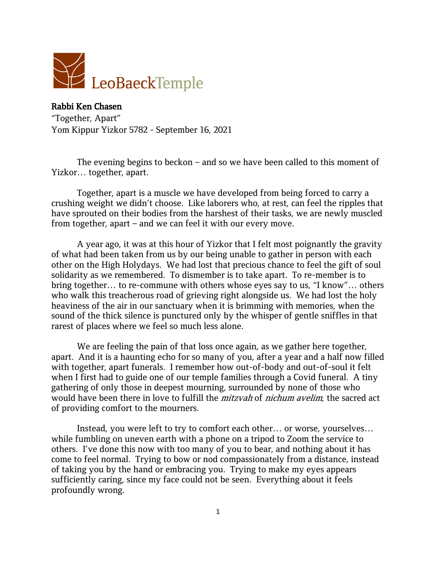

Rabbi Ken Chasen "Together, Apart" Yom Kippur Yizkor 5782 - September 16, 2021

The evening begins to beckon – and so we have been called to this moment of Yizkor… together, apart.

Together, apart is a muscle we have developed from being forced to carry a crushing weight we didn't choose. Like laborers who, at rest, can feel the ripples that have sprouted on their bodies from the harshest of their tasks, we are newly muscled from together, apart – and we can feel it with our every move.

A year ago, it was at this hour of Yizkor that I felt most poignantly the gravity of what had been taken from us by our being unable to gather in person with each other on the High Holydays. We had lost that precious chance to feel the gift of soul solidarity as we remembered. To dismember is to take apart. To re-member is to bring together… to re-commune with others whose eyes say to us, "I know"… others who walk this treacherous road of grieving right alongside us. We had lost the holy heaviness of the air in our sanctuary when it is brimming with memories, when the sound of the thick silence is punctured only by the whisper of gentle sniffles in that rarest of places where we feel so much less alone.

We are feeling the pain of that loss once again, as we gather here together, apart. And it is a haunting echo for so many of you, after a year and a half now filled with together, apart funerals. I remember how out-of-body and out-of-soul it felt when I first had to guide one of our temple families through a Covid funeral. A tiny gathering of only those in deepest mourning, surrounded by none of those who would have been there in love to fulfill the *mitzvah* of *nichum avelim*, the sacred act of providing comfort to the mourners.

Instead, you were left to try to comfort each other… or worse, yourselves… while fumbling on uneven earth with a phone on a tripod to Zoom the service to others. I've done this now with too many of you to bear, and nothing about it has come to feel normal. Trying to bow or nod compassionately from a distance, instead of taking you by the hand or embracing you. Trying to make my eyes appears sufficiently caring, since my face could not be seen. Everything about it feels profoundly wrong.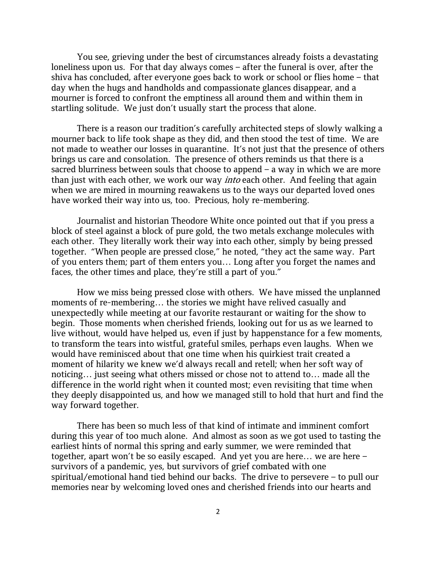You see, grieving under the best of circumstances already foists a devastating loneliness upon us. For that day always comes – after the funeral is over, after the shiva has concluded, after everyone goes back to work or school or flies home – that day when the hugs and handholds and compassionate glances disappear, and a mourner is forced to confront the emptiness all around them and within them in startling solitude. We just don't usually start the process that alone.

There is a reason our tradition's carefully architected steps of slowly walking a mourner back to life took shape as they did, and then stood the test of time. We are not made to weather our losses in quarantine. It's not just that the presence of others brings us care and consolation. The presence of others reminds us that there is a sacred blurriness between souls that choose to append – a way in which we are more than just with each other, we work our way *into* each other. And feeling that again when we are mired in mourning reawakens us to the ways our departed loved ones have worked their way into us, too. Precious, holy re-membering.

Journalist and historian Theodore White once pointed out that if you press a block of steel against a block of pure gold, the two metals exchange molecules with each other. They literally work their way into each other, simply by being pressed together. "When people are pressed close," he noted, "they act the same way. Part of you enters them; part of them enters you… Long after you forget the names and faces, the other times and place, they're still a part of you."

How we miss being pressed close with others. We have missed the unplanned moments of re-membering… the stories we might have relived casually and unexpectedly while meeting at our favorite restaurant or waiting for the show to begin. Those moments when cherished friends, looking out for us as we learned to live without, would have helped us, even if just by happenstance for a few moments, to transform the tears into wistful, grateful smiles, perhaps even laughs. When we would have reminisced about that one time when his quirkiest trait created a moment of hilarity we knew we'd always recall and retell; when her soft way of noticing… just seeing what others missed or chose not to attend to… made all the difference in the world right when it counted most; even revisiting that time when they deeply disappointed us, and how we managed still to hold that hurt and find the way forward together.

There has been so much less of that kind of intimate and imminent comfort during this year of too much alone. And almost as soon as we got used to tasting the earliest hints of normal this spring and early summer, we were reminded that together, apart won't be so easily escaped. And yet you are here… we are here – survivors of a pandemic, yes, but survivors of grief combated with one spiritual/emotional hand tied behind our backs. The drive to persevere – to pull our memories near by welcoming loved ones and cherished friends into our hearts and